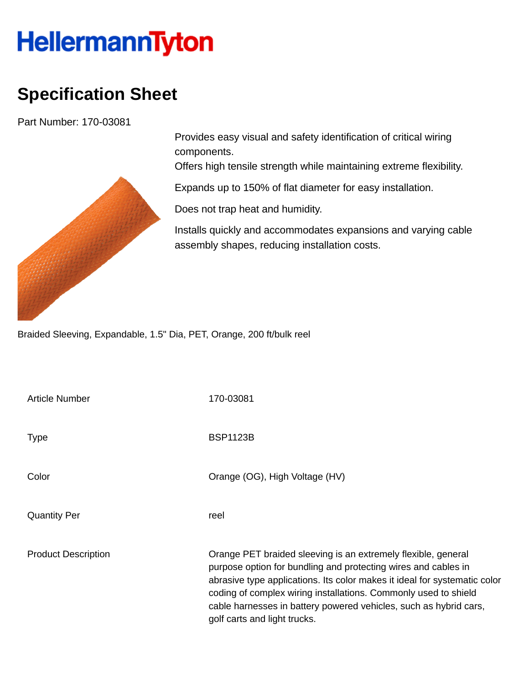## **HellermannTyton**

## **Specification Sheet**

Part Number: 170-03081



Provides easy visual and safety identification of critical wiring components.

Offers high tensile strength while maintaining extreme flexibility.

Expands up to 150% of flat diameter for easy installation.

Does not trap heat and humidity.

Installs quickly and accommodates expansions and varying cable assembly shapes, reducing installation costs.

Braided Sleeving, Expandable, 1.5" Dia, PET, Orange, 200 ft/bulk reel

| <b>Article Number</b>      | 170-03081                                                                                                                                                                                                                                                                                                                                                                            |
|----------------------------|--------------------------------------------------------------------------------------------------------------------------------------------------------------------------------------------------------------------------------------------------------------------------------------------------------------------------------------------------------------------------------------|
| <b>Type</b>                | <b>BSP1123B</b>                                                                                                                                                                                                                                                                                                                                                                      |
| Color                      | Orange (OG), High Voltage (HV)                                                                                                                                                                                                                                                                                                                                                       |
| <b>Quantity Per</b>        | reel                                                                                                                                                                                                                                                                                                                                                                                 |
| <b>Product Description</b> | Orange PET braided sleeving is an extremely flexible, general<br>purpose option for bundling and protecting wires and cables in<br>abrasive type applications. Its color makes it ideal for systematic color<br>coding of complex wiring installations. Commonly used to shield<br>cable harnesses in battery powered vehicles, such as hybrid cars,<br>golf carts and light trucks. |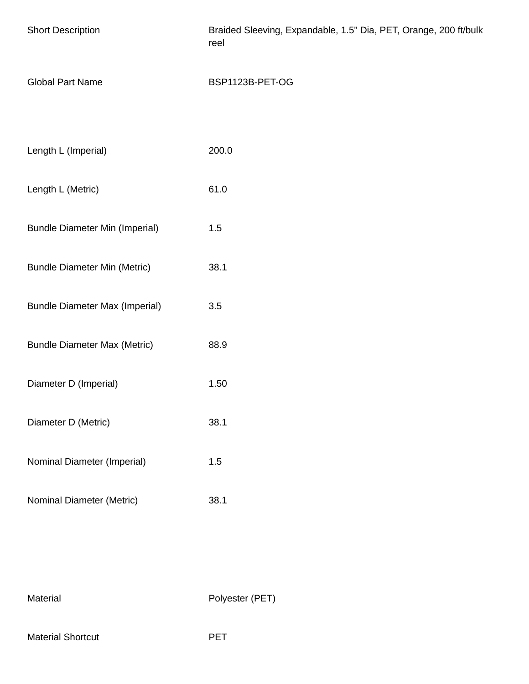| <b>Short Description</b>              | Braided Sleeving, Expandable, 1.5" Dia, PET, Orange, 200 ft/bulk<br>reel |
|---------------------------------------|--------------------------------------------------------------------------|
| <b>Global Part Name</b>               | BSP1123B-PET-OG                                                          |
|                                       |                                                                          |
| Length L (Imperial)                   | 200.0                                                                    |
| Length L (Metric)                     | 61.0                                                                     |
| <b>Bundle Diameter Min (Imperial)</b> | 1.5                                                                      |
| <b>Bundle Diameter Min (Metric)</b>   | 38.1                                                                     |
| <b>Bundle Diameter Max (Imperial)</b> | 3.5                                                                      |
| <b>Bundle Diameter Max (Metric)</b>   | 88.9                                                                     |
| Diameter D (Imperial)                 | 1.50                                                                     |
| Diameter D (Metric)                   | 38.1                                                                     |
| Nominal Diameter (Imperial)           | 1.5                                                                      |
| Nominal Diameter (Metric)             | 38.1                                                                     |

Material Polyester (PET)

Material Shortcut **PET**